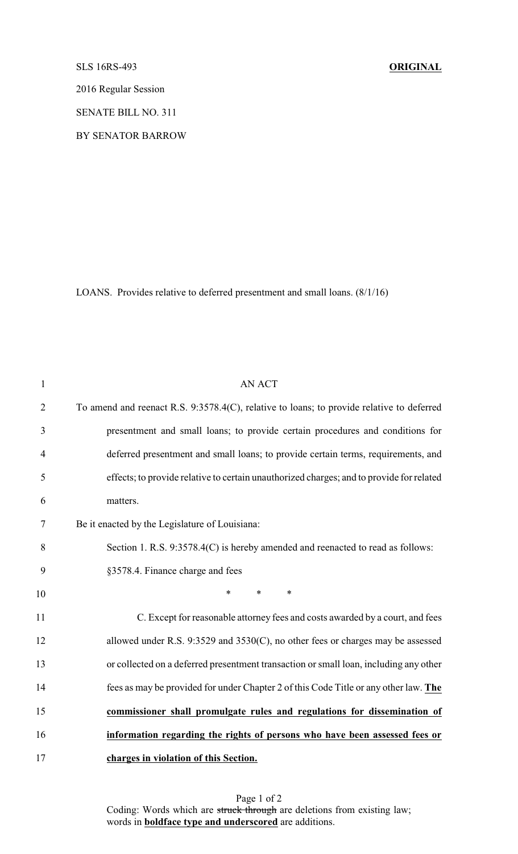## SLS 16RS-493 **ORIGINAL**

2016 Regular Session

SENATE BILL NO. 311

BY SENATOR BARROW

LOANS. Provides relative to deferred presentment and small loans. (8/1/16)

| $\mathbf{1}$   | <b>AN ACT</b>                                                                             |
|----------------|-------------------------------------------------------------------------------------------|
| $\overline{2}$ | To amend and reenact R.S. 9:3578.4(C), relative to loans; to provide relative to deferred |
| 3              | presentment and small loans; to provide certain procedures and conditions for             |
| $\overline{4}$ | deferred presentment and small loans; to provide certain terms, requirements, and         |
| 5              | effects; to provide relative to certain unauthorized charges; and to provide for related  |
| 6              | matters.                                                                                  |
| 7              | Be it enacted by the Legislature of Louisiana:                                            |
| 8              | Section 1. R.S. 9:3578.4(C) is hereby amended and reenacted to read as follows:           |
| 9              | §3578.4. Finance charge and fees                                                          |
| 10             | $\ast$<br>$\ast$<br>$\ast$                                                                |
| 11             | C. Except for reasonable attorney fees and costs awarded by a court, and fees             |
| 12             | allowed under R.S. 9:3529 and 3530(C), no other fees or charges may be assessed           |
| 13             | or collected on a deferred presentment transaction or small loan, including any other     |
| 14             | fees as may be provided for under Chapter 2 of this Code Title or any other law. The      |
| 15             | commissioner shall promulgate rules and regulations for dissemination of                  |
| 16             | information regarding the rights of persons who have been assessed fees or                |
| 17             | charges in violation of this Section.                                                     |

Page 1 of 2 Coding: Words which are struck through are deletions from existing law; words in **boldface type and underscored** are additions.